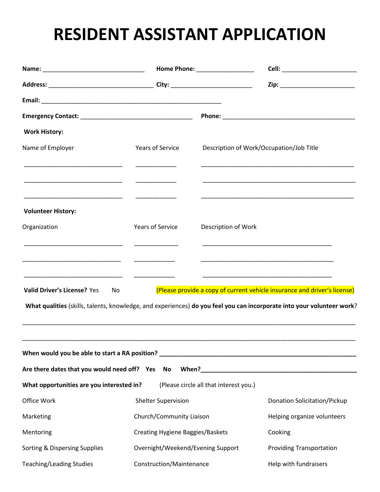## **RESIDENT ASSISTANT APPLICATION**

|                                                 |                                         |                                          | Cell: ___________________________                                                                                                                                                                   |  |
|-------------------------------------------------|-----------------------------------------|------------------------------------------|-----------------------------------------------------------------------------------------------------------------------------------------------------------------------------------------------------|--|
|                                                 |                                         |                                          | Zip: _________________________                                                                                                                                                                      |  |
|                                                 |                                         |                                          |                                                                                                                                                                                                     |  |
|                                                 |                                         |                                          |                                                                                                                                                                                                     |  |
| <b>Work History:</b>                            |                                         |                                          |                                                                                                                                                                                                     |  |
| Name of Employer                                | <b>Years of Service</b>                 | Description of Work/Occupation/Job Title |                                                                                                                                                                                                     |  |
|                                                 |                                         |                                          |                                                                                                                                                                                                     |  |
| <b>Volunteer History:</b>                       |                                         |                                          |                                                                                                                                                                                                     |  |
| Organization                                    | <b>Years of Service</b>                 | Description of Work                      |                                                                                                                                                                                                     |  |
|                                                 |                                         |                                          |                                                                                                                                                                                                     |  |
| Valid Driver's License? Yes<br>No               |                                         |                                          | (Please provide a copy of current vehicle insurance and driver's license)<br>What qualities (skills, talents, knowledge, and experiences) do you feel you can incorporate into your volunteer work? |  |
| Are there dates that you would need off? Yes No |                                         |                                          |                                                                                                                                                                                                     |  |
| What opportunities are you interested in?       |                                         | (Please circle all that interest you.)   |                                                                                                                                                                                                     |  |
| Office Work                                     | <b>Shelter Supervision</b>              |                                          | <b>Donation Solicitation/Pickup</b>                                                                                                                                                                 |  |
| Marketing                                       | Church/Community Liaison                |                                          | Helping organize volunteers                                                                                                                                                                         |  |
| Mentoring                                       | <b>Creating Hygiene Baggies/Baskets</b> |                                          | Cooking                                                                                                                                                                                             |  |
| Sorting & Dispersing Supplies                   | Overnight/Weekend/Evening Support       |                                          | <b>Providing Transportation</b>                                                                                                                                                                     |  |
| <b>Teaching/Leading Studies</b>                 | Construction/Maintenance                |                                          | Help with fundraisers                                                                                                                                                                               |  |